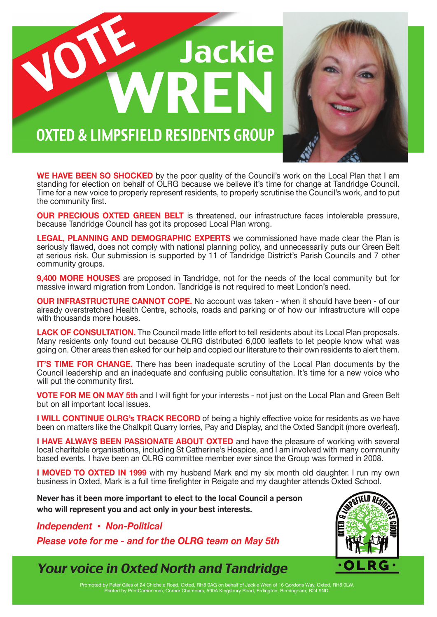



**WE HAVE BEEN SO SHOCKED** by the poor quality of the Council's work on the Local Plan that I am standing for election on behalf of OLRG because we believe it's time for change at Tandridge Council. Time for a new voice to properly represent residents, to properly scrutinise the Council's work, and to put the community first.

**OUR PRECIOUS OXTED GREEN BELT** is threatened, our infrastructure faces intolerable pressure, because Tandridge Council has got its proposed Local Plan wrong.

**LEGAL, PLANNING AND DEMOGRAPHIC EXPERTS** we commissioned have made clear the Plan is seriously flawed, does not comply with national planning policy, and unnecessarily puts our Green Belt at serious risk. Our submission is supported by 11 of Tandridge District's Parish Councils and 7 other community groups.

**9,400 MORE HOUSES** are proposed in Tandridge, not for the needs of the local community but for massive inward migration from London. Tandridge is not required to meet London's need.

**OUR INFRASTRUCTURE CANNOT COPE.** No account was taken - when it should have been - of our already overstretched Health Centre, schools, roads and parking or of how our infrastructure will cope with thousands more houses.

**LACK OF CONSULTATION.** The Council made little effort to tell residents about its Local Plan proposals. Many residents only found out because OLRG distributed 6,000 leaflets to let people know what was going on. Other areas then asked for our help and copied our literature to their own residents to alert them.

**IT'S TIME FOR CHANGE.** There has been inadequate scrutiny of the Local Plan documents by the Council leadership and an inadequate and confusing public consultation. It's time for a new voice who will put the community first.

**VOTE FOR ME ON MAY 5th** and I will fight for your interests - not just on the Local Plan and Green Belt but on all important local issues.

**I WILL CONTINUE OLRG's TRACK RECORD** of being a highly effective voice for residents as we have been on matters like the Chalkpit Quarry lorries, Pay and Display, and the Oxted Sandpit (more overleaf).

**I HAVE ALWAYS BEEN PASSIONATE ABOUT OXTED** and have the pleasure of working with several local charitable organisations, including St Catherine's Hospice, and I am involved with many community based events. I have been an OLRG committee member ever since the Group was formed in 2008.

**I MOVED TO OXTED IN 1999** with my husband Mark and my six month old daughter. I run my own business in Oxted, Mark is a full time firefighter in Reigate and my daughter attends Oxted School.

**Never has it been more important to elect to the local Council a person who will represent you and act only in your best interests.**

*Independent • Non-Political* 

*Please vote for me - and for the OLRG team on May 5th*





Promoted by Peter Giles of 24 Chichele Road, Oxted, RH8 0AG on behalf of Jackie Wren of 16 Gordons Way, Oxted, RH8 0LW. Printed by PrintCarrier.com, Corner Chambers, 590A Kingsbury Road, Erdington, Birmingham, B24 9ND.